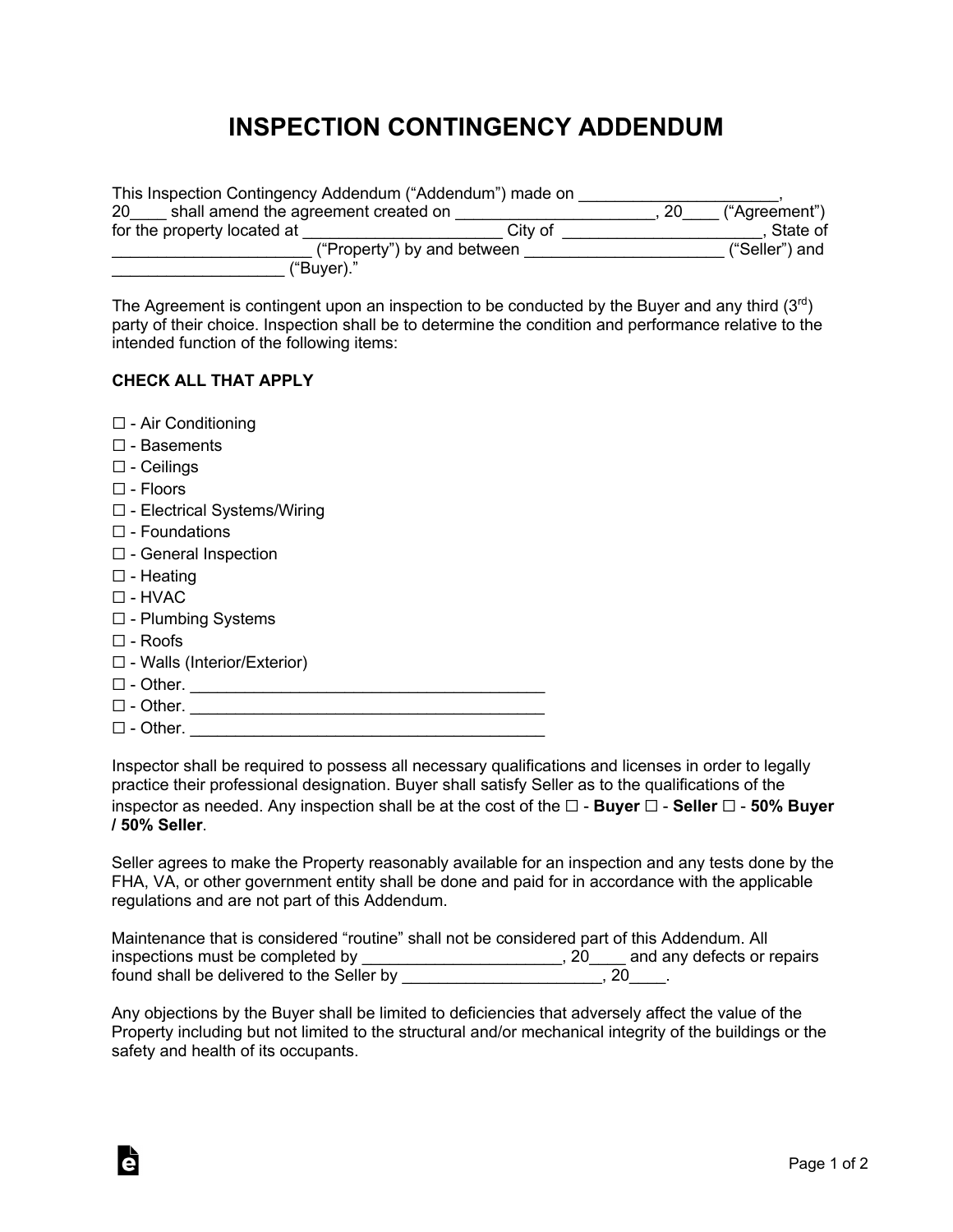## **INSPECTION CONTINGENCY ADDENDUM**

| This Inspection Contingency Addendum ("Addendum") made on |         |    |                |
|-----------------------------------------------------------|---------|----|----------------|
| shall amend the agreement created on<br><b>20</b>         |         | 20 | ("Agreement")  |
| for the property located at                               | City of |    | State of       |
| ("Property") by and between                               |         |    | ("Seller") and |
| ("Buyer)."                                                |         |    |                |

The Agreement is contingent upon an inspection to be conducted by the Buyer and any third  $(3<sup>rd</sup>)$ party of their choice. Inspection shall be to determine the condition and performance relative to the intended function of the following items:

## **CHECK ALL THAT APPLY**

- ☐ Air Conditioning
- ☐ Basements
- ☐ Ceilings
- ☐ Floors
- ☐ Electrical Systems/Wiring
- ☐ Foundations
- ☐ General Inspection
- ☐ Heating
- ☐ HVAC
- ☐ Plumbing Systems
- ☐ Roofs
- ☐ Walls (Interior/Exterior)
- ☐ Other. \_\_\_\_\_\_\_\_\_\_\_\_\_\_\_\_\_\_\_\_\_\_\_\_\_\_\_\_\_\_\_\_\_\_\_\_\_\_\_

à

- ☐ Other. \_\_\_\_\_\_\_\_\_\_\_\_\_\_\_\_\_\_\_\_\_\_\_\_\_\_\_\_\_\_\_\_\_\_\_\_\_\_\_
- $\Box$  Other.

Inspector shall be required to possess all necessary qualifications and licenses in order to legally practice their professional designation. Buyer shall satisfy Seller as to the qualifications of the inspector as needed. Any inspection shall be at the cost of the ☐ - **Buyer** ☐ - **Seller** ☐ - **50% Buyer / 50% Seller**.

Seller agrees to make the Property reasonably available for an inspection and any tests done by the FHA, VA, or other government entity shall be done and paid for in accordance with the applicable regulations and are not part of this Addendum.

|                                           | Maintenance that is considered "routine" shall not be considered part of this Addendum. All |
|-------------------------------------------|---------------------------------------------------------------------------------------------|
| inspections must be completed by          | and any defects or repairs<br>. 20                                                          |
| found shall be delivered to the Seller by | ∠∪                                                                                          |

Any objections by the Buyer shall be limited to deficiencies that adversely affect the value of the Property including but not limited to the structural and/or mechanical integrity of the buildings or the safety and health of its occupants.